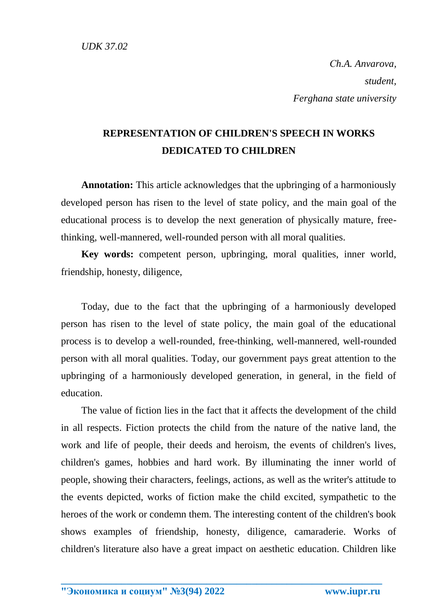*Сh.A. Anvarova, student, Ferghana state university*

## **REPRESENTATION OF CHILDREN'S SPEECH IN WORKS DEDICATED TO CHILDREN**

**Annotation:** This article acknowledges that the upbringing of a harmoniously developed person has risen to the level of state policy, and the main goal of the educational process is to develop the next generation of physically mature, freethinking, well-mannered, well-rounded person with all moral qualities.

**Key words:** competent person, upbringing, moral qualities, inner world, friendship, honesty, diligence,

Today, due to the fact that the upbringing of a harmoniously developed person has risen to the level of state policy, the main goal of the educational process is to develop a well-rounded, free-thinking, well-mannered, well-rounded person with all moral qualities. Today, our government pays great attention to the upbringing of a harmoniously developed generation, in general, in the field of education.

The value of fiction lies in the fact that it affects the development of the child in all respects. Fiction protects the child from the nature of the native land, the work and life of people, their deeds and heroism, the events of children's lives, children's games, hobbies and hard work. By illuminating the inner world of people, showing their characters, feelings, actions, as well as the writer's attitude to the events depicted, works of fiction make the child excited, sympathetic to the heroes of the work or condemn them. The interesting content of the children's book shows examples of friendship, honesty, diligence, camaraderie. Works of children's literature also have a great impact on aesthetic education. Children like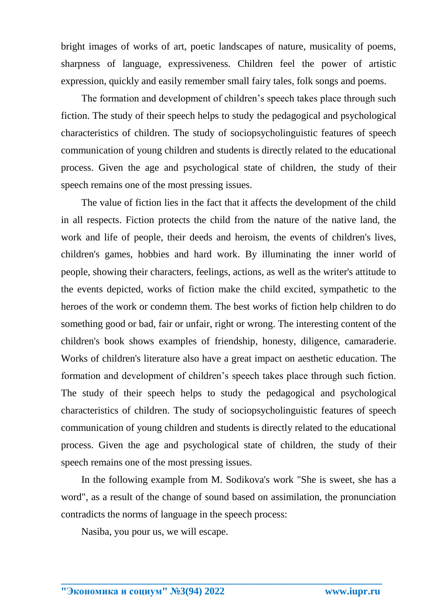bright images of works of art, poetic landscapes of nature, musicality of poems, sharpness of language, expressiveness. Children feel the power of artistic expression, quickly and easily remember small fairy tales, folk songs and poems.

The formation and development of children's speech takes place through such fiction. The study of their speech helps to study the pedagogical and psychological characteristics of children. The study of sociopsycholinguistic features of speech communication of young children and students is directly related to the educational process. Given the age and psychological state of children, the study of their speech remains one of the most pressing issues.

The value of fiction lies in the fact that it affects the development of the child in all respects. Fiction protects the child from the nature of the native land, the work and life of people, their deeds and heroism, the events of children's lives, children's games, hobbies and hard work. By illuminating the inner world of people, showing their characters, feelings, actions, as well as the writer's attitude to the events depicted, works of fiction make the child excited, sympathetic to the heroes of the work or condemn them. The best works of fiction help children to do something good or bad, fair or unfair, right or wrong. The interesting content of the children's book shows examples of friendship, honesty, diligence, camaraderie. Works of children's literature also have a great impact on aesthetic education. The formation and development of children's speech takes place through such fiction. The study of their speech helps to study the pedagogical and psychological characteristics of children. The study of sociopsycholinguistic features of speech communication of young children and students is directly related to the educational process. Given the age and psychological state of children, the study of their speech remains one of the most pressing issues.

In the following example from M. Sodikova's work "She is sweet, she has a word", as a result of the change of sound based on assimilation, the pronunciation contradicts the norms of language in the speech process:

**\_\_\_\_\_\_\_\_\_\_\_\_\_\_\_\_\_\_\_\_\_\_\_\_\_\_\_\_\_\_\_\_\_\_\_\_\_\_\_\_\_\_\_\_\_\_\_\_\_\_\_\_\_\_\_\_\_\_\_\_\_\_\_\_**

Nasiba, you pour us, we will escape.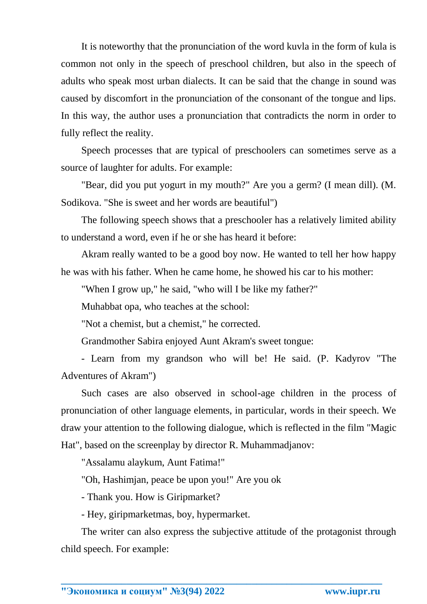It is noteworthy that the pronunciation of the word kuvla in the form of kula is common not only in the speech of preschool children, but also in the speech of adults who speak most urban dialects. It can be said that the change in sound was caused by discomfort in the pronunciation of the consonant of the tongue and lips. In this way, the author uses a pronunciation that contradicts the norm in order to fully reflect the reality.

Speech processes that are typical of preschoolers can sometimes serve as a source of laughter for adults. For example:

"Bear, did you put yogurt in my mouth?" Are you a germ? (I mean dill). (M. Sodikova. "She is sweet and her words are beautiful")

The following speech shows that a preschooler has a relatively limited ability to understand a word, even if he or she has heard it before:

Akram really wanted to be a good boy now. He wanted to tell her how happy he was with his father. When he came home, he showed his car to his mother:

"When I grow up," he said, "who will I be like my father?"

Muhabbat opa, who teaches at the school:

"Not a chemist, but a chemist," he corrected.

Grandmother Sabira enjoyed Aunt Akram's sweet tongue:

- Learn from my grandson who will be! He said. (P. Kadyrov "The Adventures of Akram")

Such cases are also observed in school-age children in the process of pronunciation of other language elements, in particular, words in their speech. We draw your attention to the following dialogue, which is reflected in the film "Magic Hat", based on the screenplay by director R. Muhammadjanov:

"Assalamu alaykum, Aunt Fatima!"

"Oh, Hashimjan, peace be upon you!" Are you ok

- Thank you. How is Giripmarket?

- Hey, giripmarketmas, boy, hypermarket.

The writer can also express the subjective attitude of the protagonist through child speech. For example: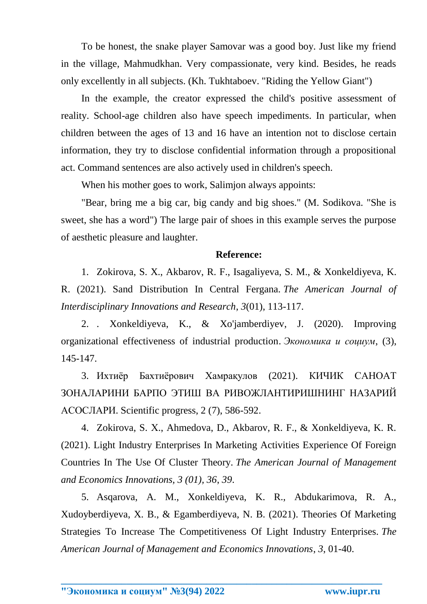To be honest, the snake player Samovar was a good boy. Just like my friend in the village, Mahmudkhan. Very compassionate, very kind. Besides, he reads only excellently in all subjects. (Kh. Tukhtaboev. "Riding the Yellow Giant")

In the example, the creator expressed the child's positive assessment of reality. School-age children also have speech impediments. In particular, when children between the ages of 13 and 16 have an intention not to disclose certain information, they try to disclose confidential information through a propositional act. Command sentences are also actively used in children's speech.

When his mother goes to work, Salimjon always appoints:

"Bear, bring me a big car, big candy and big shoes." (M. Sodikova. "She is sweet, she has a word") The large pair of shoes in this example serves the purpose of aesthetic pleasure and laughter.

## **Reference:**

1. Zokirova, S. X., Akbarov, R. F., Isagaliyeva, S. M., & Xonkeldiyeva, K. R. (2021). Sand Distribution In Central Fergana. *The American Journal of Interdisciplinary Innovations and Research*, *3*(01), 113-117.

2. . Xonkeldiyeva, K., & Xo'jamberdiyev, J. (2020). Improving organizational effectiveness of industrial production. *Экономика и социум*, (3), 145-147.

3. Ихтиёр Бахтиёрович Хамрақулов (2021). КИЧИК САНОАТ ЗОНАЛАРИНИ БАРПО ЭТИШ ВА РИВОЖЛАНТИРИШНИНГ НАЗАРИЙ АСОСЛАРИ. Scientific progress, 2 (7), 586-592.

4. Zokirova, S. Х., Ahmedova, D., Akbarov, R. F., & Xonkeldiyeva, K. R. (2021). Light Industry Enterprises In Marketing Activities Experience Of Foreign Countries In The Use Of Cluster Theory. *The American Journal of Management and Economics Innovations, 3 (01), 36*, *39*.

5. Asqarova, A. M., Xonkeldiyeva, K. R., Abdukarimova, R. A., Xudoyberdiyeva, X. B., & Egamberdiyeva, N. B. (2021). Theories Of Marketing Strategies To Increase The Competitiveness Of Light Industry Enterprises. *The American Journal of Management and Economics Innovations*, *3*, 01-40.